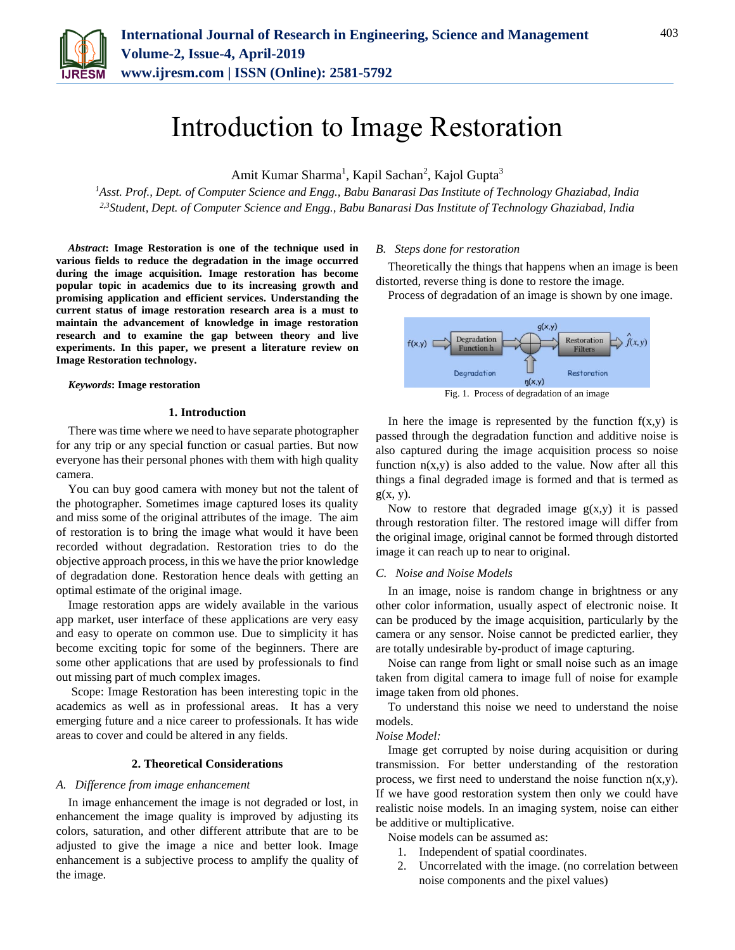

# Introduction to Image Restoration

Amit Kumar Sharma<sup>1</sup>, Kapil Sachan<sup>2</sup>, Kajol Gupta<sup>3</sup>

*<sup>1</sup>Asst. Prof., Dept. of Computer Science and Engg., Babu Banarasi Das Institute of Technology Ghaziabad, India 2,3Student, Dept. of Computer Science and Engg., Babu Banarasi Das Institute of Technology Ghaziabad, India*

*Abstract***: Image Restoration is one of the technique used in various fields to reduce the degradation in the image occurred during the image acquisition. Image restoration has become popular topic in academics due to its increasing growth and promising application and efficient services. Understanding the current status of image restoration research area is a must to maintain the advancement of knowledge in image restoration research and to examine the gap between theory and live experiments. In this paper, we present a literature review on Image Restoration technology.**

*Keywords***: Image restoration**

#### **1. Introduction**

There was time where we need to have separate photographer for any trip or any special function or casual parties. But now everyone has their personal phones with them with high quality camera.

You can buy good camera with money but not the talent of the photographer. Sometimes image captured loses its quality and miss some of the original attributes of the image. The aim of restoration is to bring the image what would it have been recorded without degradation. Restoration tries to do the objective approach process, in this we have the prior knowledge of degradation done. Restoration hence deals with getting an optimal estimate of the original image.

Image restoration apps are widely available in the various app market, user interface of these applications are very easy and easy to operate on common use. Due to simplicity it has become exciting topic for some of the beginners. There are some other applications that are used by professionals to find out missing part of much complex images.

Scope: Image Restoration has been interesting topic in the academics as well as in professional areas. It has a very emerging future and a nice career to professionals. It has wide areas to cover and could be altered in any fields.

#### **2. Theoretical Considerations**

#### *A. Difference from image enhancement*

In image enhancement the image is not degraded or lost, in enhancement the image quality is improved by adjusting its colors, saturation, and other different attribute that are to be adjusted to give the image a nice and better look. Image enhancement is a subjective process to amplify the quality of the image.

#### *B. Steps done for restoration*

Theoretically the things that happens when an image is been distorted, reverse thing is done to restore the image.

Process of degradation of an image is shown by one image.



Fig. 1. Process of degradation of an image

In here the image is represented by the function  $f(x,y)$  is passed through the degradation function and additive noise is also captured during the image acquisition process so noise function  $n(x,y)$  is also added to the value. Now after all this things a final degraded image is formed and that is termed as  $g(x, y)$ .

Now to restore that degraded image  $g(x,y)$  it is passed through restoration filter. The restored image will differ from the original image, original cannot be formed through distorted image it can reach up to near to original.

#### *C. Noise and Noise Models*

In an image, noise is random change in brightness or any other color information, usually aspect of electronic noise. It can be produced by the image acquisition, particularly by the camera or any sensor. Noise cannot be predicted earlier, they are totally undesirable by-product of image capturing.

Noise can range from light or small noise such as an image taken from digital camera to image full of noise for example image taken from old phones.

To understand this noise we need to understand the noise models.

#### *Noise Model:*

Image get corrupted by noise during acquisition or during transmission. For better understanding of the restoration process, we first need to understand the noise function  $n(x,y)$ . If we have good restoration system then only we could have realistic noise models. In an imaging system, noise can either be additive or multiplicative.

Noise models can be assumed as:

- 1. Independent of spatial coordinates.
- 2. Uncorrelated with the image. (no correlation between noise components and the pixel values)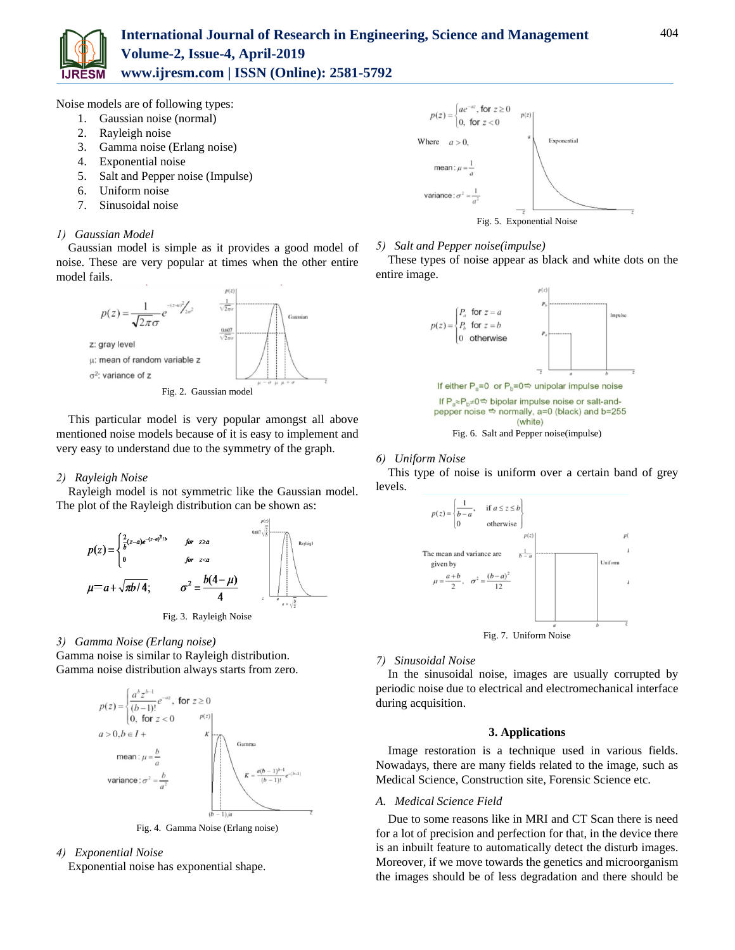

### **International Journal of Research in Engineering, Science and Management Volume-2, Issue-4, April-2019 www.ijresm.com | ISSN (Online): 2581-5792**

Noise models are of following types:

- 1. Gaussian noise (normal)
- 2. Rayleigh noise
- 3. Gamma noise (Erlang noise)
- 4. Exponential noise
- 5. Salt and Pepper noise (Impulse)
- 6. Uniform noise
- 7. Sinusoidal noise

#### *1) Gaussian Model*

Gaussian model is simple as it provides a good model of noise. These are very popular at times when the other entire model fails.



Fig. 2. Gaussian model

This particular model is very popular amongst all above mentioned noise models because of it is easy to implement and very easy to understand due to the symmetry of the graph.

#### *2) Rayleigh Noise*

Rayleigh model is not symmetric like the Gaussian model. The plot of the Rayleigh distribution can be shown as:



#### *3) Gamma Noise (Erlang noise)*

Gamma noise is similar to Rayleigh distribution. Gamma noise distribution always starts from zero.



Fig. 4. Gamma Noise (Erlang noise)

- *4) Exponential Noise*
	- Exponential noise has exponential shape.



#### *5) Salt and Pepper noise(impulse)*

These types of noise appear as black and white dots on the entire image.



#### *6) Uniform Noise*

This type of noise is uniform over a certain band of grey levels.



## *7) Sinusoidal Noise*

In the sinusoidal noise, images are usually corrupted by periodic noise due to electrical and electromechanical interface during acquisition.

#### **3. Applications**

Image restoration is a technique used in various fields. Nowadays, there are many fields related to the image, such as Medical Science, Construction site, Forensic Science etc.

#### *A. Medical Science Field*

Due to some reasons like in MRI and CT Scan there is need for a lot of precision and perfection for that, in the device there is an inbuilt feature to automatically detect the disturb images. Moreover, if we move towards the genetics and microorganism the images should be of less degradation and there should be